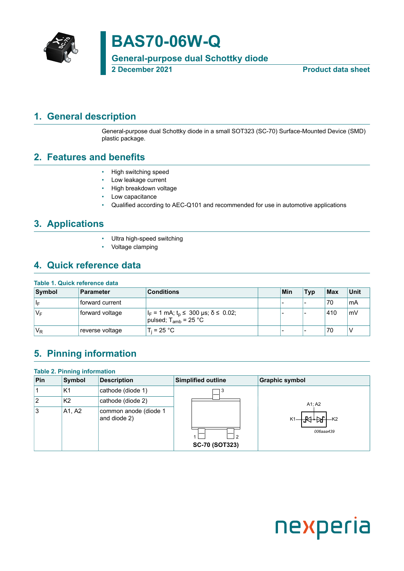

## **BAS70-06W-Q**

**General-purpose dual Schottky diode**

**2 December 2021 Product data sheet**

## <span id="page-0-0"></span>**1. General description**

General-purpose dual Schottky diode in a small SOT323 (SC-70) Surface-Mounted Device (SMD) plastic package.

## <span id="page-0-1"></span>**2. Features and benefits**

- High switching speed
- Low leakage current
- High breakdown voltage
- Low capacitance
- Qualified according to AEC-Q101 and recommended for use in automotive applications

## <span id="page-0-2"></span>**3. Applications**

- Ultra high-speed switching
- Voltage clamping

## <span id="page-0-3"></span>**4. Quick reference data**

#### **Table 1. Quick reference data**

| Symbol | <b>Parameter</b> | <b>Conditions</b>                                                                 | Min | <b>Typ</b>               | $ $ Max | <b>Unit</b> |
|--------|------------------|-----------------------------------------------------------------------------------|-----|--------------------------|---------|-------------|
| ∣∣⊧    | forward current  |                                                                                   | -   | $\overline{\phantom{a}}$ | 70      | ˈmA         |
| 'V⊧    | forward voltage  | $ I_F = 1$ mA; $t_p \le 300$ µs; $\delta \le 0.02$ ;<br>pulsed; $T_{amb}$ = 25 °C |     |                          | 410     | mV          |
| $V_R$  | reverse voltage  | $T_i = 25 °C$                                                                     | -   | $\overline{\phantom{a}}$ | 70      | ν           |

## <span id="page-0-4"></span>**5. Pinning information**

|                | <b>Table 2. Pinning information</b> |                                       |                       |                            |
|----------------|-------------------------------------|---------------------------------------|-----------------------|----------------------------|
| Pin            | <b>Symbol</b>                       | <b>Description</b>                    | Simplified outline    | <b>Graphic symbol</b>      |
|                | K <sub>1</sub>                      | cathode (diode 1)                     | 3                     |                            |
| $\overline{2}$ | K <sub>2</sub>                      | cathode (diode 2)                     |                       | A1; A2                     |
| Ι3             | A1, A2                              | common anode (diode 1<br>and diode 2) | <b>SC-70 (SOT323)</b> | $K1$ —<br>-K2<br>006aaa439 |

# nexperia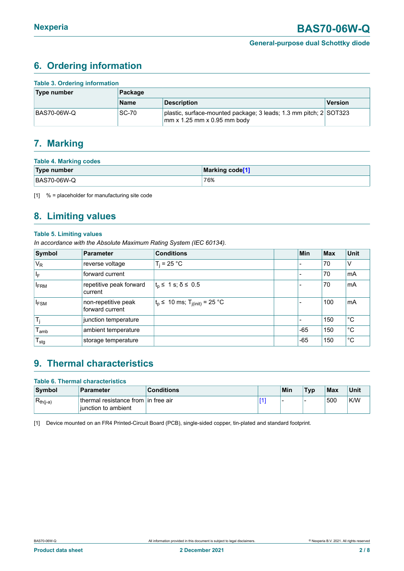## <span id="page-1-1"></span><span id="page-1-0"></span>**6. Ordering information**

| <b>Table 3. Ordering information</b> |              |                                                                                                         |                |  |  |  |
|--------------------------------------|--------------|---------------------------------------------------------------------------------------------------------|----------------|--|--|--|
| Type number                          | Package      |                                                                                                         |                |  |  |  |
|                                      | <b>Name</b>  | <b>Description</b>                                                                                      | <b>Version</b> |  |  |  |
| BAS70-06W-Q                          | <b>SC-70</b> | plastic, surface-mounted package; 3 leads; 1.3 mm pitch; 2 SOT323<br>$\rm{mm}$ x 1.25 mm x 0.95 mm body |                |  |  |  |

### <span id="page-1-2"></span>**7. Marking**

| <b>Table 4. Marking codes</b> |                 |  |  |  |  |
|-------------------------------|-----------------|--|--|--|--|
| Type number                   | Marking code[1] |  |  |  |  |
| BAS70-06W-Q                   | ี76%            |  |  |  |  |

[1] % = placeholder for manufacturing site code

## <span id="page-1-3"></span>**8. Limiting values**

#### **Table 5. Limiting values**

*In accordance with the Absolute Maximum Rating System (IEC 60134).*

| Symbol                   | Parameter                              | <b>Conditions</b>                            | Min   | <b>Max</b> | <b>Unit</b> |
|--------------------------|----------------------------------------|----------------------------------------------|-------|------------|-------------|
| $V_R$                    | reverse voltage                        | $T_i = 25 °C$                                |       | 70         | v           |
| $\parallel$ l $_{\sf F}$ | forward current                        |                                              |       | 70         | mA          |
| <b>FRM</b>               | repetitive peak forward<br>current     | $ t_{p} \leq 1$ s; $\delta \leq 0.5$         |       | 70         | mA          |
| <b>IFSM</b>              | non-repetitive peak<br>forward current | $ t_p$ ≤ 10 ms; T <sub>j(init)</sub> = 25 °C |       | 100        | mA          |
| $T_i$                    | junction temperature                   |                                              |       | 150        | °C          |
| $I_{amb}$                | ambient temperature                    |                                              | $-65$ | 150        | °C          |
| $T_{\text{stg}}$         | storage temperature                    |                                              | $-65$ | 150        | $^{\circ}C$ |

## <span id="page-1-4"></span>**9. Thermal characteristics**

| <b>Table 6. Thermal characteristics</b> |                                                               |                   |  |     |            |            |      |
|-----------------------------------------|---------------------------------------------------------------|-------------------|--|-----|------------|------------|------|
| Symbol                                  | Parameter                                                     | <b>Conditions</b> |  | Min | <b>Typ</b> | <b>Max</b> | Unit |
| $R_{th(j-a)}$                           | ⊥thermal resistance from Lin free air<br>liunction to ambient |                   |  |     |            | ⊧500       | K/W  |

[1] Device mounted on an FR4 Printed-Circuit Board (PCB), single-sided copper, tin-plated and standard footprint.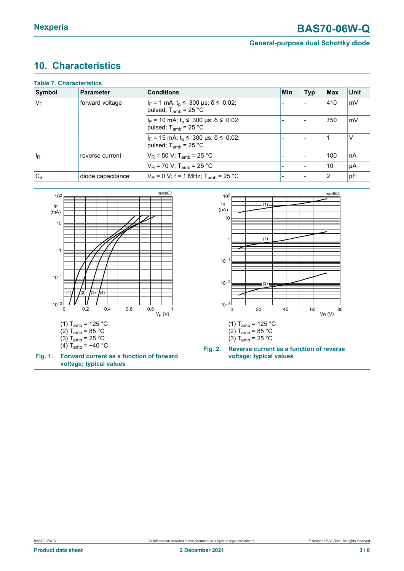## <span id="page-2-0"></span>**10. Characteristics**

|                   | <b>Table 7. Characteristics</b> |                                                                                                        |  |     |            |     |             |  |
|-------------------|---------------------------------|--------------------------------------------------------------------------------------------------------|--|-----|------------|-----|-------------|--|
| Symbol            | Parameter                       | <b>Conditions</b>                                                                                      |  | Min | <b>Typ</b> | Max | <b>Unit</b> |  |
| $ V_F $           | forward voltage                 | $ I_F = 1$ mA; $t_p \le 300$ µs; $\delta \le 0.02$ ;<br>pulsed; $T_{amb}$ = 25 °C                      |  |     |            | 410 | mV          |  |
|                   |                                 | $ I_F = 10 \text{ mA}; t_p \le 300 \text{ }\mu\text{s}; \delta \le 0.02;$<br>pulsed; $T_{amb}$ = 25 °C |  |     |            | 750 | mV          |  |
|                   |                                 | $I_F = 15$ mA; $t_p \le 300$ µs; $\delta \le 0.02$ ;<br>pulsed; $T_{amb}$ = 25 °C                      |  |     |            |     | v           |  |
| $ I_{\mathsf{R}}$ | reverse current                 | $V_R$ = 50 V; T <sub>amb</sub> = 25 °C                                                                 |  |     |            | 100 | ∣nA         |  |
|                   |                                 | $V_R$ = 70 V; T <sub>amb</sub> = 25 °C                                                                 |  |     |            | 10  | µA          |  |
| $ C_{d}$          | diode capacitance               | $V_R$ = 0 V; f = 1 MHz; T <sub>amb</sub> = 25 °C                                                       |  |     |            | 12  | pF          |  |

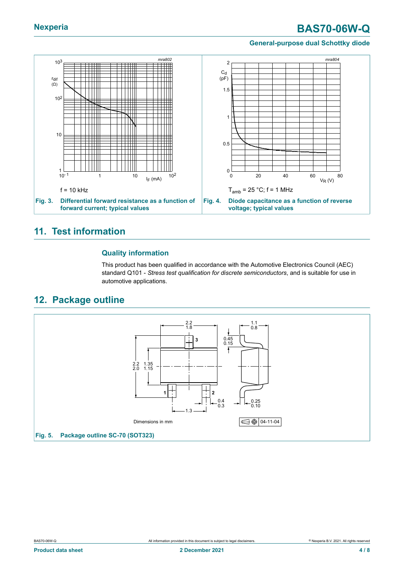## **Nexperia BAS70-06W-Q**

#### **General-purpose dual Schottky diode**



#### <span id="page-3-0"></span>**11. Test information**

#### **Quality information**

This product has been qualified in accordance with the Automotive Electronics Council (AEC) standard Q101 - *Stress test qualification for discrete semiconductors*, and is suitable for use in automotive applications.

### <span id="page-3-1"></span>**12. Package outline**

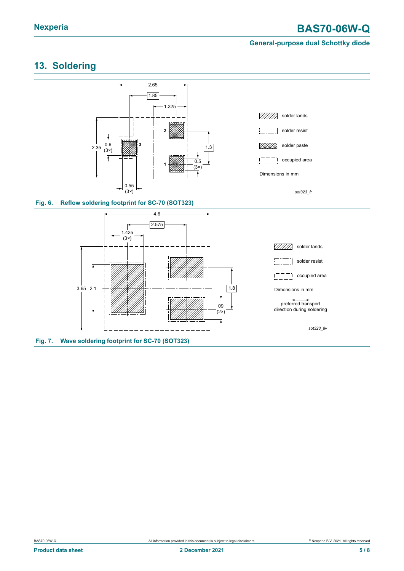## <span id="page-4-0"></span>**13. Soldering**

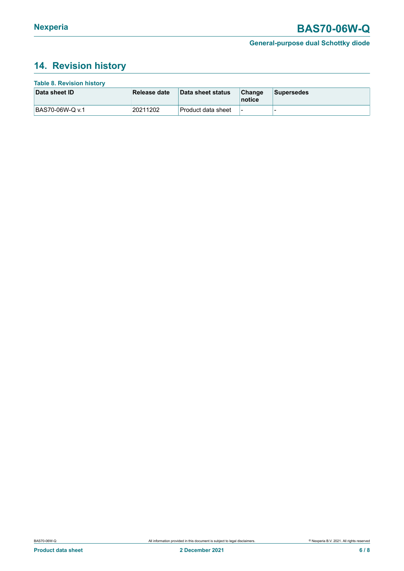## <span id="page-5-0"></span>**14. Revision history**

| <b>Table 8. Revision history</b> |              |                     |                          |                   |
|----------------------------------|--------------|---------------------|--------------------------|-------------------|
| Data sheet ID                    | Release date | Data sheet status   | Change<br>notice         | <b>Supersedes</b> |
| BAS70-06W-Q v.1                  | 20211202     | ∣Product data sheet | $\overline{\phantom{a}}$ | -                 |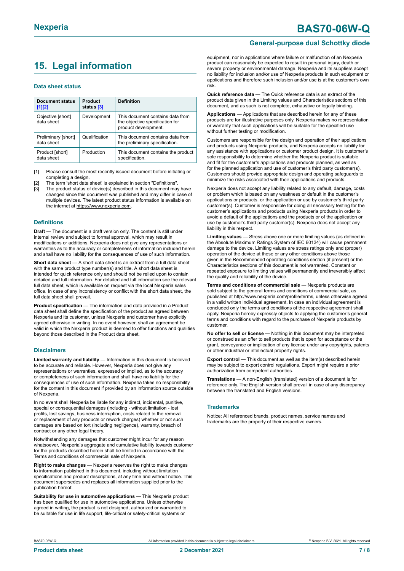## <span id="page-6-0"></span>**15. Legal information**

#### **Data sheet status**

| Document status<br>$[1]$ [2]      | Product<br>status [3] | <b>Definition</b>                                                                           |
|-----------------------------------|-----------------------|---------------------------------------------------------------------------------------------|
| Objective [short]<br>data sheet   | Development           | This document contains data from<br>the objective specification for<br>product development. |
| Preliminary [short]<br>data sheet | Qualification         | This document contains data from<br>the preliminary specification.                          |
| Product [short]<br>data sheet     | Production            | This document contains the product<br>specification.                                        |

[1] Please consult the most recently issued document before initiating or completing a design.

The term 'short data sheet' is explained in section "Definitions"

[3] The product status of device(s) described in this document may have changed since this document was published and may differ in case of multiple devices. The latest product status information is available on the internet at [https://www.nexperia.com.](https://www.nexperia.com)

#### **Definitions**

**Draft** — The document is a draft version only. The content is still under internal review and subject to formal approval, which may result in modifications or additions. Nexperia does not give any representations or warranties as to the accuracy or completeness of information included herein and shall have no liability for the consequences of use of such information.

**Short data sheet** — A short data sheet is an extract from a full data sheet with the same product type number(s) and title. A short data sheet is intended for quick reference only and should not be relied upon to contain detailed and full information. For detailed and full information see the relevant full data sheet, which is available on request via the local Nexperia sales office. In case of any inconsistency or conflict with the short data sheet, the full data sheet shall prevail.

**Product specification** — The information and data provided in a Product data sheet shall define the specification of the product as agreed between Nexperia and its customer, unless Nexperia and customer have explicitly agreed otherwise in writing. In no event however, shall an agreement be valid in which the Nexperia product is deemed to offer functions and qualities beyond those described in the Product data sheet.

#### **Disclaimers**

**Limited warranty and liability** — Information in this document is believed to be accurate and reliable. However, Nexperia does not give any representations or warranties, expressed or implied, as to the accuracy or completeness of such information and shall have no liability for the consequences of use of such information. Nexperia takes no responsibility for the content in this document if provided by an information source outside of Nexperia.

In no event shall Nexperia be liable for any indirect, incidental, punitive, special or consequential damages (including - without limitation - lost profits, lost savings, business interruption, costs related to the removal or replacement of any products or rework charges) whether or not such damages are based on tort (including negligence), warranty, breach of contract or any other legal theory.

Notwithstanding any damages that customer might incur for any reason whatsoever, Nexperia's aggregate and cumulative liability towards customer for the products described herein shall be limited in accordance with the Terms and conditions of commercial sale of Nexperia.

**Right to make changes** — Nexperia reserves the right to make changes to information published in this document, including without limitation specifications and product descriptions, at any time and without notice. This document supersedes and replaces all information supplied prior to the publication hereof.

**Suitability for use in automotive applications** — This Nexperia product has been qualified for use in automotive applications. Unless otherwise agreed in writing, the product is not designed, authorized or warranted to be suitable for use in life support, life-critical or safety-critical systems or

#### **General-purpose dual Schottky diode**

equipment, nor in applications where failure or malfunction of an Nexperia product can reasonably be expected to result in personal injury, death or severe property or environmental damage. Nexperia and its suppliers accept no liability for inclusion and/or use of Nexperia products in such equipment or applications and therefore such inclusion and/or use is at the customer's own risk.

**Quick reference data** — The Quick reference data is an extract of the product data given in the Limiting values and Characteristics sections of this document, and as such is not complete, exhaustive or legally binding.

**Applications** — Applications that are described herein for any of these products are for illustrative purposes only. Nexperia makes no representation or warranty that such applications will be suitable for the specified use without further testing or modification.

Customers are responsible for the design and operation of their applications and products using Nexperia products, and Nexperia accepts no liability for any assistance with applications or customer product design. It is customer's sole responsibility to determine whether the Nexperia product is suitable and fit for the customer's applications and products planned, as well as for the planned application and use of customer's third party customer(s). Customers should provide appropriate design and operating safeguards to minimize the risks associated with their applications and products.

Nexperia does not accept any liability related to any default, damage, costs or problem which is based on any weakness or default in the customer's applications or products, or the application or use by customer's third party customer(s). Customer is responsible for doing all necessary testing for the customer's applications and products using Nexperia products in order to avoid a default of the applications and the products or of the application or use by customer's third party customer(s). Nexperia does not accept any liability in this respect.

**Limiting values** — Stress above one or more limiting values (as defined in the Absolute Maximum Ratings System of IEC 60134) will cause permanent damage to the device. Limiting values are stress ratings only and (proper) operation of the device at these or any other conditions above those given in the Recommended operating conditions section (if present) or the Characteristics sections of this document is not warranted. Constant or repeated exposure to limiting values will permanently and irreversibly affect the quality and reliability of the device.

**Terms and conditions of commercial sale** — Nexperia products are sold subject to the general terms and conditions of commercial sale, as published at [http://www.nexperia.com/profile/terms,](http://www.nexperia.com/profile/terms) unless otherwise agreed in a valid written individual agreement. In case an individual agreement is concluded only the terms and conditions of the respective agreement shall apply. Nexperia hereby expressly objects to applying the customer's general terms and conditions with regard to the purchase of Nexperia products by customer.

**No offer to sell or license** — Nothing in this document may be interpreted or construed as an offer to sell products that is open for acceptance or the grant, conveyance or implication of any license under any copyrights, patents or other industrial or intellectual property rights.

**Export control** — This document as well as the item(s) described herein may be subject to export control regulations. Export might require a prior authorization from competent authorities.

**Translations** — A non-English (translated) version of a document is for reference only. The English version shall prevail in case of any discrepancy between the translated and English versions.

#### **Trademarks**

Notice: All referenced brands, product names, service names and trademarks are the property of their respective owners.